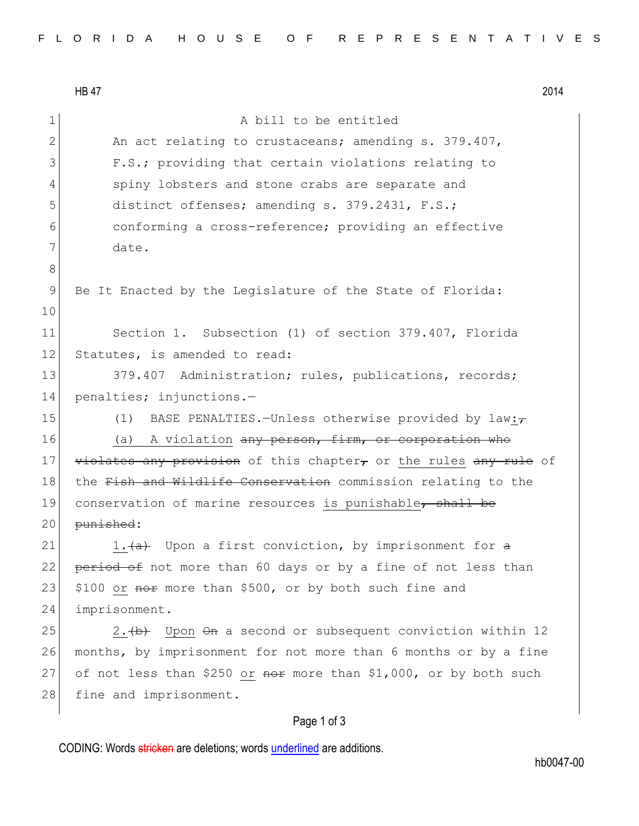HB 47 2014 1 A bill to be entitled 2 An act relating to crustaceans; amending s. 379.407, 3 F.S.; providing that certain violations relating to 4 spiny lobsters and stone crabs are separate and 5 distinct offenses; amending s. 379.2431, F.S.; 6 conforming a cross-reference; providing an effective 7 date. 8 9 Be It Enacted by the Legislature of the State of Florida: 10 11 Section 1. Subsection (1) of section 379.407, Florida 12 Statutes, is amended to read: 13 379.407 Administration; rules, publications, records; 14 penalties; injunctions.— 15 (1) BASE PENALTIES. - Unless otherwise provided by law: 16 (a) A violation any person, firm, or corporation who 17 violates any provision of this chapter, or the rules any rule of 18 the Fish and Wildlife Conservation commission relating to the 19 conservation of marine resources is punishable, shall be 20 punished: 21 1. $\left( \frac{a}{a} \right)$  Upon a first conviction, by imprisonment for  $\frac{a}{a}$ 22 period of not more than 60 days or by a fine of not less than 23  $\mid$  \$100 or nore than \$500, or by both such fine and 24 imprisonment.  $25$  2.  $\leftrightarrow$  Upon  $\Theta$ n a second or subsequent conviction within 12 26 months, by imprisonment for not more than 6 months or by a fine 27 of not less than \$250 or  $\theta$  more than \$1,000, or by both such 28 fine and imprisonment.

## Page 1 of 3

CODING: Words stricken are deletions; words underlined are additions.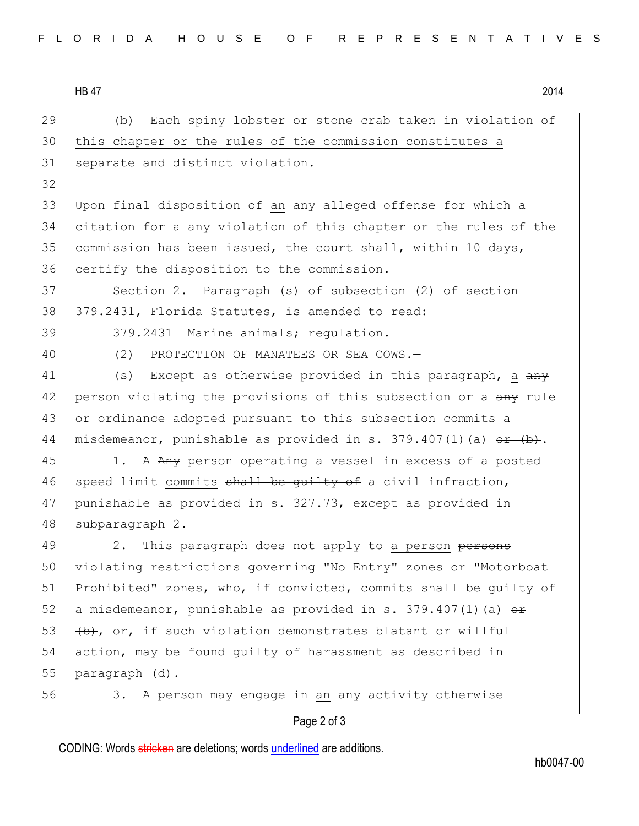HB 47 2014

Page 2 of 3 29 (b) Each spiny lobster or stone crab taken in violation of 30 this chapter or the rules of the commission constitutes a 31 separate and distinct violation. 32 33 Upon final disposition of an any alleged offense for which a 34 citation for a any violation of this chapter or the rules of the 35 commission has been issued, the court shall, within 10 days, 36 certify the disposition to the commission. 37 Section 2. Paragraph (s) of subsection (2) of section 38 379.2431, Florida Statutes, is amended to read: 39 379.2431 Marine animals; regulation.-40 (2) PROTECTION OF MANATEES OR SEA COWS.-41 (s) Except as otherwise provided in this paragraph, a  $\frac{a}{a}$ 42 person violating the provisions of this subsection or a any rule 43 or ordinance adopted pursuant to this subsection commits a 44 misdemeanor, punishable as provided in s. 379.407(1)(a)  $\theta$  +  $(\theta)$ . 45 1. A Any person operating a vessel in excess of a posted 46 speed limit commits shall be guilty of a civil infraction, 47 punishable as provided in s. 327.73, except as provided in 48 subparagraph 2. 49 2. This paragraph does not apply to a person persons 50 violating restrictions governing "No Entry" zones or "Motorboat 51 Prohibited" zones, who, if convicted, commits shall be guilty of 52 a misdemeanor, punishable as provided in s. 379.407(1)(a)  $\theta$ r 53  $\left(\frac{b}{b}, \text{ or, if such violation demonstrates blatant or willful}\right)$ 54 action, may be found guilty of harassment as described in 55 paragraph (d). 56 3. A person may engage in an any activity otherwise

CODING: Words stricken are deletions; words underlined are additions.